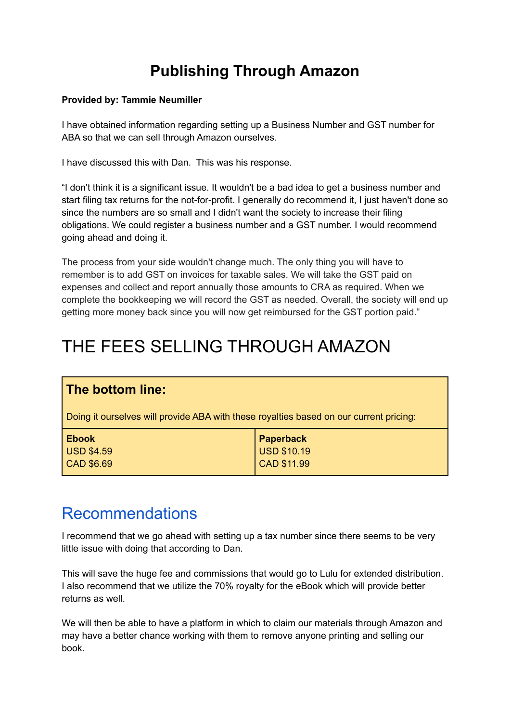## **Publishing Through Amazon**

#### **Provided by: Tammie Neumiller**

I have obtained information regarding setting up a Business Number and GST number for ABA so that we can sell through Amazon ourselves.

I have discussed this with Dan. This was his response.

"I don't think it is a significant issue. It wouldn't be a bad idea to get a business number and start filing tax returns for the not-for-profit. I generally do recommend it, I just haven't done so since the numbers are so small and I didn't want the society to increase their filing obligations. We could register a business number and a GST number. I would recommend going ahead and doing it.

The process from your side wouldn't change much. The only thing you will have to remember is to add GST on invoices for taxable sales. We will take the GST paid on expenses and collect and report annually those amounts to CRA as required. When we complete the bookkeeping we will record the GST as needed. Overall, the society will end up getting more money back since you will now get reimbursed for the GST portion paid."

# THE FEES SELLING THROUGH AMAZON

### **The bottom line:**

Doing it ourselves will provide ABA with these royalties based on our current pricing:

| <b>Ebook</b>      |                                         |
|-------------------|-----------------------------------------|
| <b>USD \$4.59</b> | Paperback<br>USD \$10.19<br>CAD \$11.99 |
| CAD \$6.69        |                                         |

### Recommendations

I recommend that we go ahead with setting up a tax number since there seems to be very little issue with doing that according to Dan.

This will save the huge fee and commissions that would go to Lulu for extended distribution. I also recommend that we utilize the 70% royalty for the eBook which will provide better returns as well.

We will then be able to have a platform in which to claim our materials through Amazon and may have a better chance working with them to remove anyone printing and selling our book.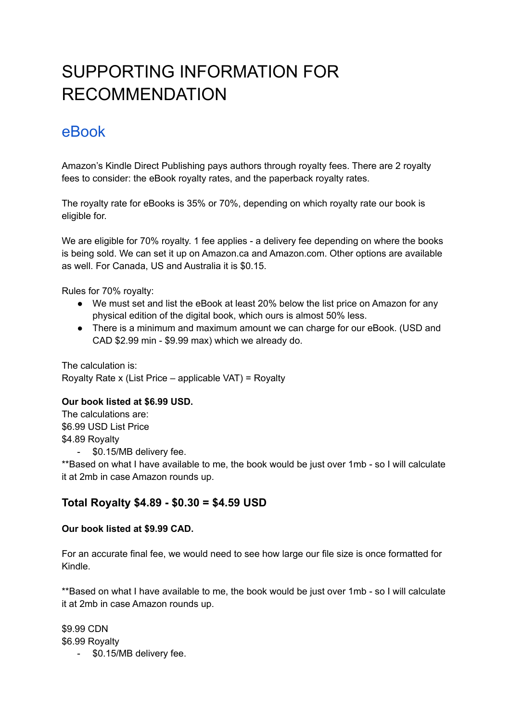# SUPPORTING INFORMATION FOR RECOMMENDATION

## eBook

Amazon's Kindle Direct Publishing pays authors through royalty fees. There are 2 royalty fees to consider: the eBook royalty rates, and the paperback royalty rates.

The royalty rate for eBooks is 35% or 70%, depending on which royalty rate our book is eligible for.

We are eligible for 70% royalty. 1 fee applies - a delivery fee depending on where the books is being sold. We can set it up on Amazon.ca and Amazon.com. Other options are available as well. For Canada, US and Australia it is \$0.15.

Rules for 70% royalty:

- We must set and list the eBook at least 20% below the list price on Amazon for any physical edition of the digital book, which ours is almost 50% less.
- There is a minimum and maximum amount we can charge for our eBook. (USD and CAD \$2.99 min - \$9.99 max) which we already do.

The calculation is: Royalty Rate x (List Price – applicable VAT) = Royalty

#### **Our book listed at \$6.99 USD.**

The calculations are: \$6.99 USD List Price \$4.89 Royalty - \$0.15/MB delivery fee.

\*\*Based on what I have available to me, the book would be just over 1mb - so I will calculate it at 2mb in case Amazon rounds up.

### **Total Royalty \$4.89 - \$0.30 = \$4.59 USD**

#### **Our book listed at \$9.99 CAD.**

For an accurate final fee, we would need to see how large our file size is once formatted for Kindle.

\*\*Based on what I have available to me, the book would be just over 1mb - so I will calculate it at 2mb in case Amazon rounds up.

\$9.99 CDN \$6.99 Royalty

- \$0.15/MB delivery fee.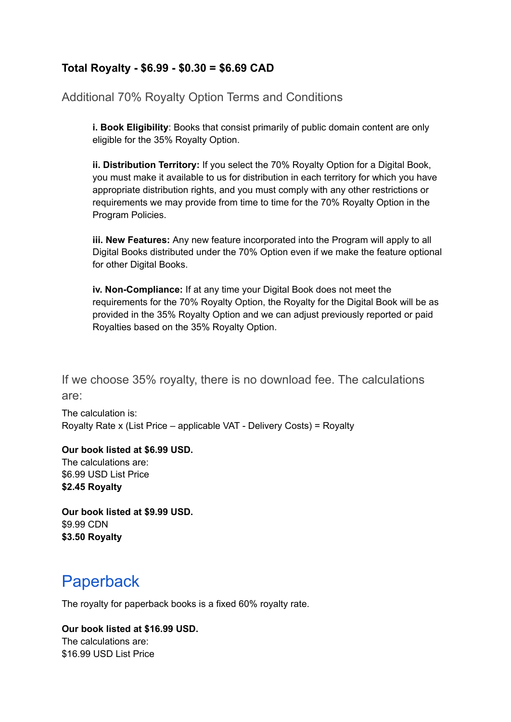### **Total Royalty - \$6.99 - \$0.30 = \$6.69 CAD**

Additional 70% Royalty Option Terms and Conditions

**i. Book Eligibility**: Books that consist primarily of public domain content are only eligible for the 35% Royalty Option.

**ii. Distribution Territory:** If you select the 70% Royalty Option for a Digital Book, you must make it available to us for distribution in each territory for which you have appropriate distribution rights, and you must comply with any other restrictions or requirements we may provide from time to time for the 70% Royalty Option in the Program Policies.

**iii. New Features:** Any new feature incorporated into the Program will apply to all Digital Books distributed under the 70% Option even if we make the feature optional for other Digital Books.

**iv. Non-Compliance:** If at any time your Digital Book does not meet the requirements for the 70% Royalty Option, the Royalty for the Digital Book will be as provided in the 35% Royalty Option and we can adjust previously reported or paid Royalties based on the 35% Royalty Option.

If we choose 35% royalty, there is no download fee. The calculations are:

The calculation is: Royalty Rate x (List Price – applicable VAT - Delivery Costs) = Royalty

**Our book listed at \$6.99 USD.** The calculations are:

\$6.99 USD List Price **\$2.45 Royalty**

**Our book listed at \$9.99 USD.** \$9.99 CDN **\$3.50 Royalty**

## Paperback

The royalty for paperback books is a fixed 60% royalty rate.

#### **Our book listed at \$16.99 USD.** The calculations are:

\$16.99 USD List Price